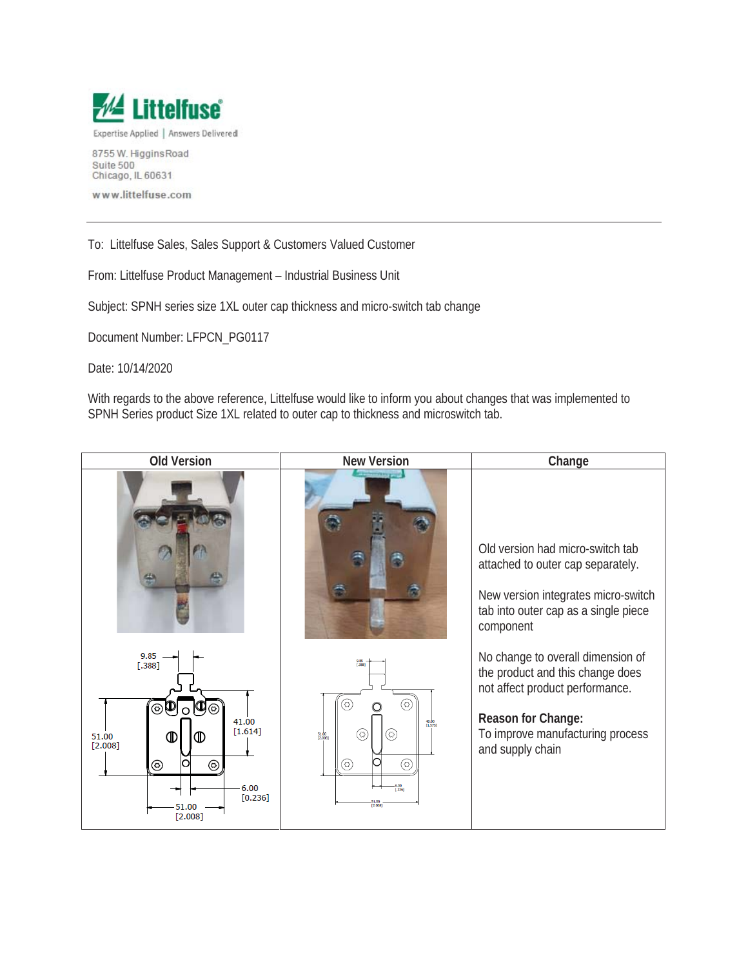

Suite 500 Chicago, IL 60631

www.littelfuse.com

To: Littelfuse Sales, Sales Support & Customers Valued Customer

From: Littelfuse Product Management – Industrial Business Unit

Subject: SPNH series size 1XL outer cap thickness and micro-switch tab change

Document Number: LFPCN\_PG0117

Date: 10/14/2020

With regards to the above reference, Littelfuse would like to inform you about changes that was implemented to SPNH Series product Size 1XL related to outer cap to thickness and microswitch tab.